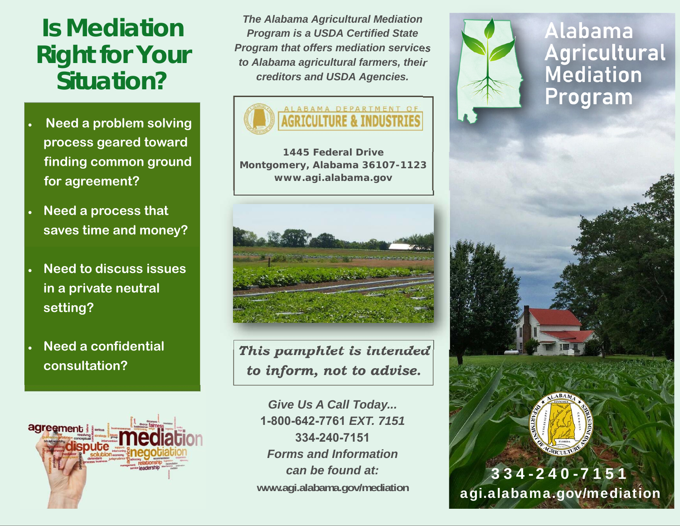# **Is Mediation Right for Your Situation?**

- $\bullet$  **Need a problem solving process geared toward finding common ground for agreement?**
- $\bullet$  **Need a process that saves time and money?**
- $\bullet$  **Need to discuss issues in a private neutral setting?**
- $\bullet$  **Need a confidential consultation?**



*The Alabama Agricultural Mediation Program is a USDA Certified State Program that offers mediation services to Alabama agricultural farmers, their creditors and USDA Agencies.* 



*1445 Federal Drive Montgomery, Alabama 36107-1123 www.agi.alabama.gov*



*This pamphlet is intended to inform, not to advise.* 

*Give Us A Call Today...*  **1-800-642-7761** *EXT. 7151* **334-240-7151** *Forms and Information can be found at:* **www.agi.alabama.gov/mediation** 



**Alabama Agricultural**<br>**Mediation** Program